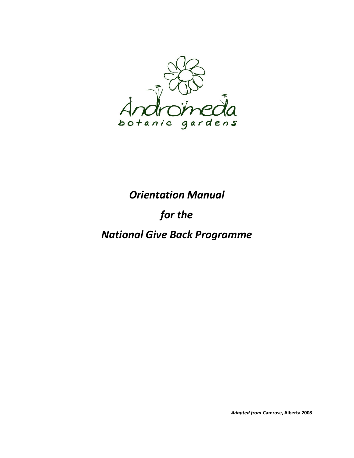

# *Orientation Manual*

# *for the*

# *National Give Back Programme*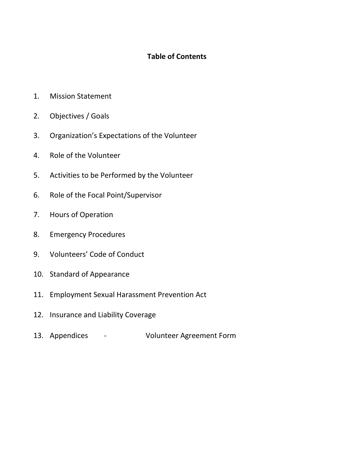## **Table of Contents**

- 1. Mission Statement
- 2. Objectives / Goals
- 3. Organization's Expectations of the Volunteer
- 4. Role of the Volunteer
- 5. Activities to be Performed by the Volunteer
- 6. Role of the Focal Point/Supervisor
- 7. Hours of Operation
- 8. Emergency Procedures
- 9. Volunteers' Code of Conduct
- 10. Standard of Appearance
- 11. Employment Sexual Harassment Prevention Act
- 12. Insurance and Liability Coverage
- 13. Appendices Volunteer Agreement Form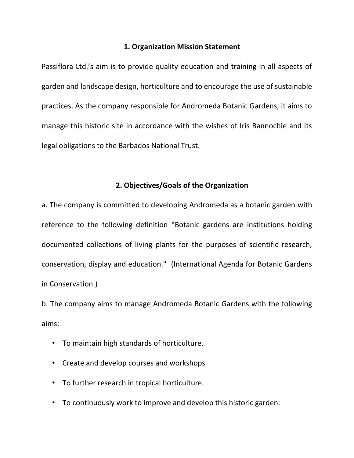#### **1. Organization Mission Statement**

Passiflora Ltd.'s aim is to provide quality education and training in all aspects of garden and landscape design, horticulture and to encourage the use of sustainable practices. As the company responsible for Andromeda Botanic Gardens, it aims to manage this historic site in accordance with the wishes of Iris Bannochie and its legal obligations to the Barbados National Trust.

#### **2. Objectives/Goals of the Organization**

a. The company is committed to developing Andromeda as a botanic garden with reference to the following definition "Botanic gardens are institutions holding documented collections of living plants for the purposes of scientific research, conservation, display and education." (International Agenda for Botanic Gardens in Conservation.)

b. The company aims to manage Andromeda Botanic Gardens with the following aims:

- To maintain high standards of horticulture.
- Create and develop courses and workshops
- To further research in tropical horticulture.
- To continuously work to improve and develop this historic garden.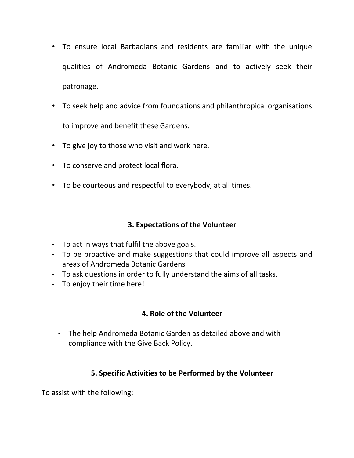- To ensure local Barbadians and residents are familiar with the unique qualities of Andromeda Botanic Gardens and to actively seek their patronage.
- To seek help and advice from foundations and philanthropical organisations to improve and benefit these Gardens.
- To give joy to those who visit and work here.
- To conserve and protect local flora.
- To be courteous and respectful to everybody, at all times.

# **3. Expectations of the Volunteer**

- To act in ways that fulfil the above goals.
- To be proactive and make suggestions that could improve all aspects and areas of Andromeda Botanic Gardens
- To ask questions in order to fully understand the aims of all tasks.
- To enjoy their time here!

# **4. Role of the Volunteer**

- The help Andromeda Botanic Garden as detailed above and with compliance with the Give Back Policy.

# **5. Specific Activities to be Performed by the Volunteer**

To assist with the following: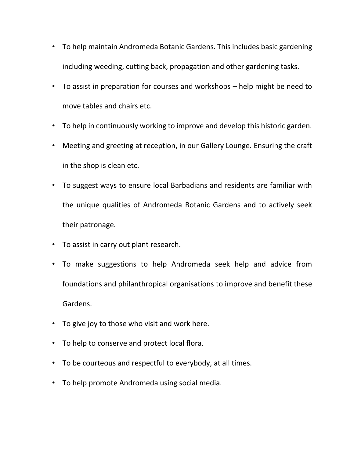- To help maintain Andromeda Botanic Gardens. This includes basic gardening including weeding, cutting back, propagation and other gardening tasks.
- To assist in preparation for courses and workshops help might be need to move tables and chairs etc.
- To help in continuously working to improve and develop this historic garden.
- Meeting and greeting at reception, in our Gallery Lounge. Ensuring the craft in the shop is clean etc.
- To suggest ways to ensure local Barbadians and residents are familiar with the unique qualities of Andromeda Botanic Gardens and to actively seek their patronage.
- To assist in carry out plant research.
- To make suggestions to help Andromeda seek help and advice from foundations and philanthropical organisations to improve and benefit these Gardens.
- To give joy to those who visit and work here.
- To help to conserve and protect local flora.
- To be courteous and respectful to everybody, at all times.
- To help promote Andromeda using social media.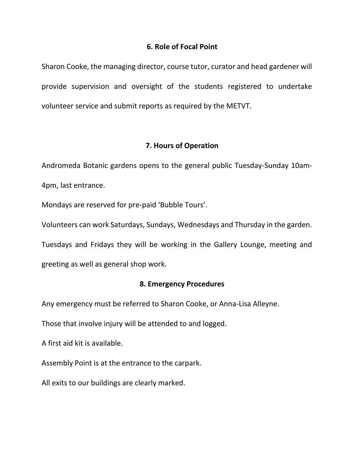#### **6. Role of Focal Point**

Sharon Cooke, the managing director, course tutor, curator and head gardener will provide supervision and oversight of the students registered to undertake volunteer service and submit reports as required by the METVT.

#### **7. Hours of Operation**

Andromeda Botanic gardens opens to the general public Tuesday-Sunday 10am-4pm, last entrance.

Mondays are reserved for pre-paid 'Bubble Tours'.

Volunteers can work Saturdays, Sundays, Wednesdays and Thursday in the garden.

Tuesdays and Fridays they will be working in the Gallery Lounge, meeting and greeting as well as general shop work.

#### **8. Emergency Procedures**

Any emergency must be referred to Sharon Cooke, or Anna-Lisa Alleyne.

Those that involve injury will be attended to and logged.

A first aid kit is available.

Assembly Point is at the entrance to the carpark.

All exits to our buildings are clearly marked.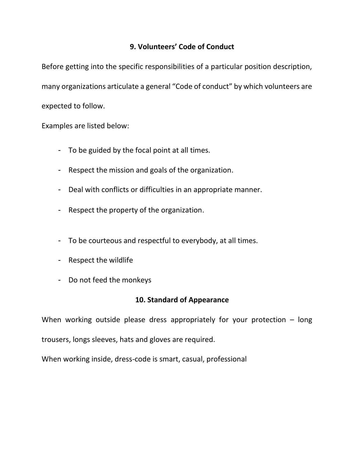## **9. Volunteers' Code of Conduct**

Before getting into the specific responsibilities of a particular position description, many organizations articulate a general "Code of conduct" by which volunteers are expected to follow.

Examples are listed below:

- To be guided by the focal point at all times.
- Respect the mission and goals of the organization.
- Deal with conflicts or difficulties in an appropriate manner.
- Respect the property of the organization.
- To be courteous and respectful to everybody, at all times.
- Respect the wildlife
- Do not feed the monkeys

## **10. Standard of Appearance**

When working outside please dress appropriately for your protection  $-$  long

trousers, longs sleeves, hats and gloves are required.

When working inside, dress-code is smart, casual, professional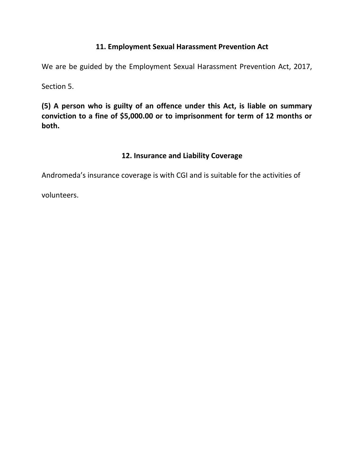### **11. Employment Sexual Harassment Prevention Act**

We are be guided by the Employment Sexual Harassment Prevention Act, 2017,

Section 5.

**(5) A person who is guilty of an offence under this Act, is liable on summary conviction to a fine of \$5,000.00 or to imprisonment for term of 12 months or both.**

### **12. Insurance and Liability Coverage**

Andromeda's insurance coverage is with CGI and is suitable for the activities of

volunteers.